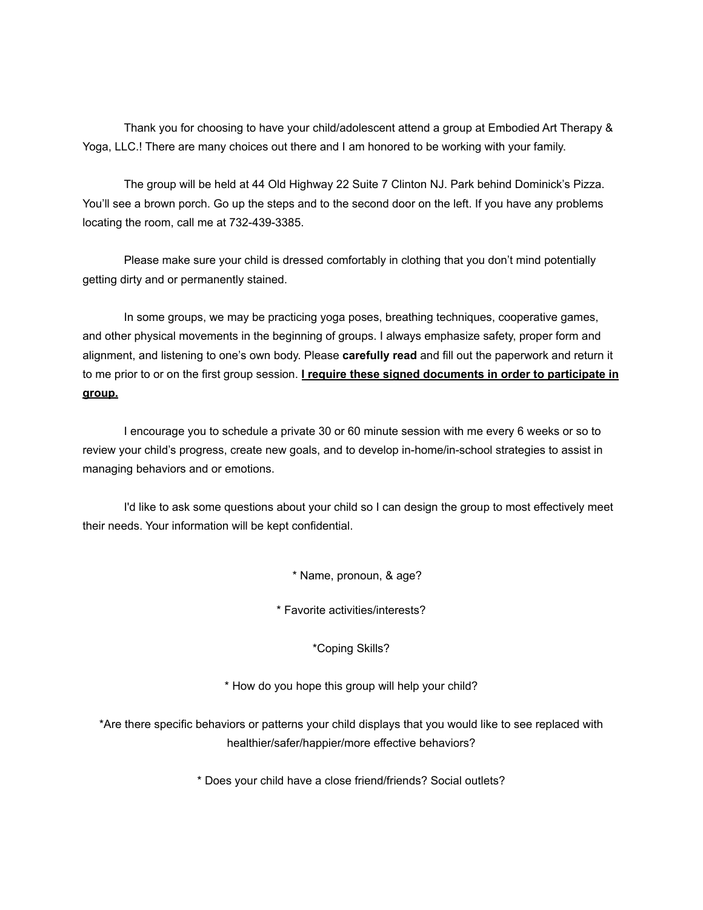Thank you for choosing to have your child/adolescent attend a group at Embodied Art Therapy & Yoga, LLC.! There are many choices out there and I am honored to be working with your family.

The group will be held at 44 Old Highway 22 Suite 7 Clinton NJ. Park behind Dominick's Pizza. You'll see a brown porch. Go up the steps and to the second door on the left. If you have any problems locating the room, call me at 732-439-3385.

Please make sure your child is dressed comfortably in clothing that you don't mind potentially getting dirty and or permanently stained.

In some groups, we may be practicing yoga poses, breathing techniques, cooperative games, and other physical movements in the beginning of groups. I always emphasize safety, proper form and alignment, and listening to one's own body. Please **carefully read** and fill out the paperwork and return it to me prior to or on the first group session. **I require these signed documents in order to participate in group.**

I encourage you to schedule a private 30 or 60 minute session with me every 6 weeks or so to review your child's progress, create new goals, and to develop in-home/in-school strategies to assist in managing behaviors and or emotions.

I'd like to ask some questions about your child so I can design the group to most effectively meet their needs. Your information will be kept confidential.

\* Name, pronoun, & age?

\* Favorite activities/interests?

\*Coping Skills?

\* How do you hope this group will help your child?

\*Are there specific behaviors or patterns your child displays that you would like to see replaced with healthier/safer/happier/more effective behaviors?

\* Does your child have a close friend/friends? Social outlets?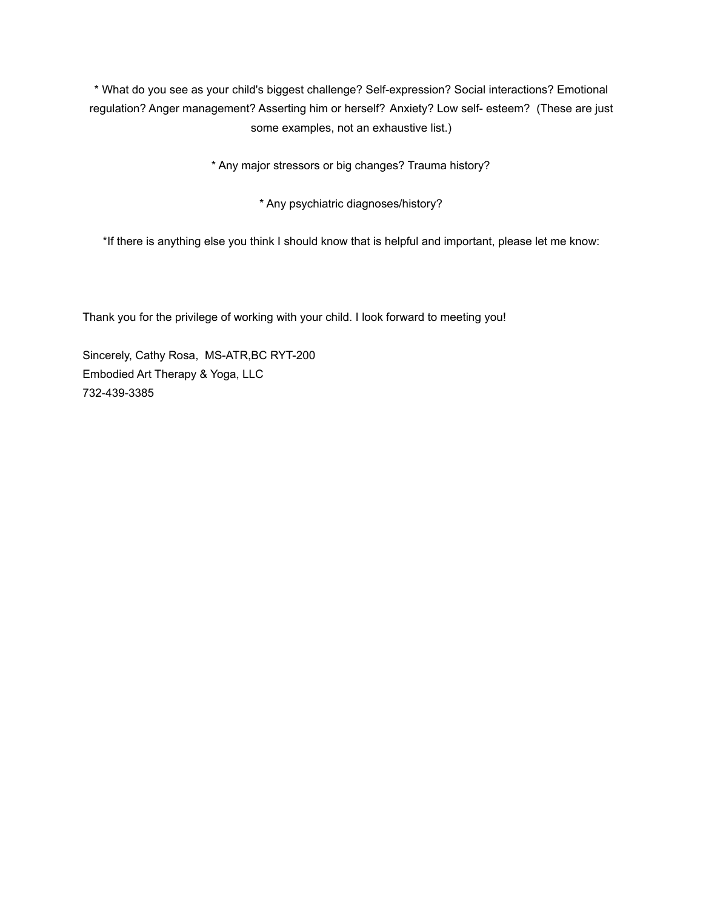\* What do you see as your child's biggest challenge? Self-expression? Social interactions? Emotional regulation? Anger management? Asserting him or herself? Anxiety? Low self- esteem? (These are just some examples, not an exhaustive list.)

\* Any major stressors or big changes? Trauma history?

\* Any psychiatric diagnoses/history?

\*If there is anything else you think I should know that is helpful and important, please let me know:

Thank you for the privilege of working with your child. I look forward to meeting you!

Sincerely, Cathy Rosa, MS-ATR,BC RYT-200 Embodied Art Therapy & Yoga, LLC 732-439-3385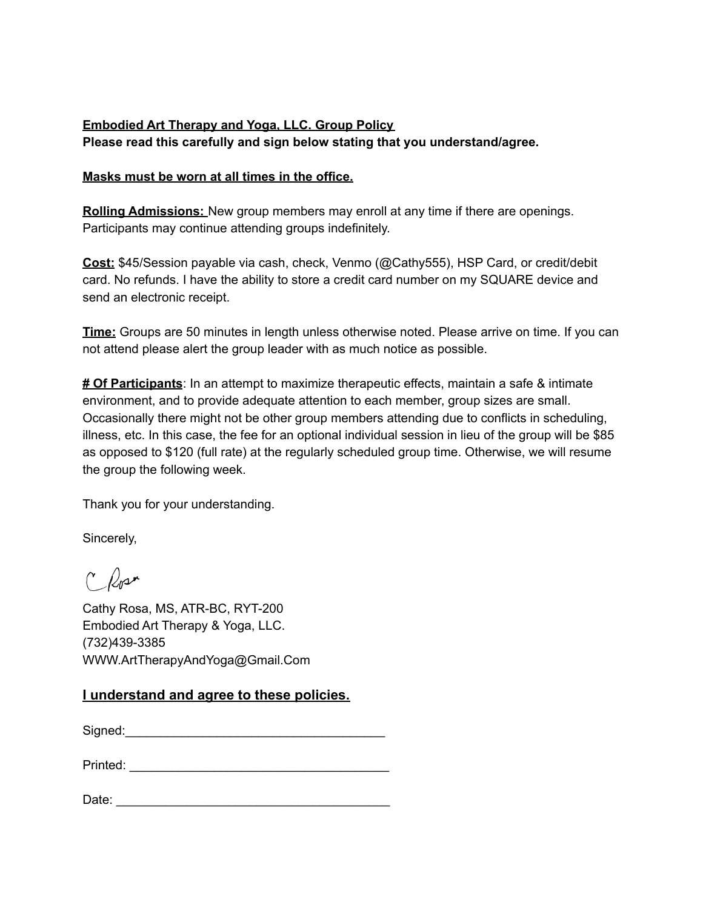## **Embodied Art Therapy and Yoga, LLC. Group Policy Please read this carefully and sign below stating that you understand/agree.**

## **Masks must be worn at all times in the office.**

**Rolling Admissions:** New group members may enroll at any time if there are openings. Participants may continue attending groups indefinitely.

**Cost:** \$45/Session payable via cash, check, Venmo (@Cathy555), HSP Card, or credit/debit card. No refunds. I have the ability to store a credit card number on my SQUARE device and send an electronic receipt.

**Time:** Groups are 50 minutes in length unless otherwise noted. Please arrive on time. If you can not attend please alert the group leader with as much notice as possible.

**# Of Participants**: In an attempt to maximize therapeutic effects, maintain a safe & intimate environment, and to provide adequate attention to each member, group sizes are small. Occasionally there might not be other group members attending due to conflicts in scheduling, illness, etc. In this case, the fee for an optional individual session in lieu of the group will be \$85 as opposed to \$120 (full rate) at the regularly scheduled group time. Otherwise, we will resume the group the following week.

Thank you for your understanding.

Sincerely,

C<sup>N</sup>

Cathy Rosa, MS, ATR-BC, RYT-200 Embodied Art Therapy & Yoga, LLC. (732)439-3385 WWW.ArtTherapyAndYoga@Gmail.Com

## **I understand and agree to these policies.**

 $Signed:$ 

| Printed: |  |
|----------|--|
|----------|--|

| Date: |
|-------|
|-------|